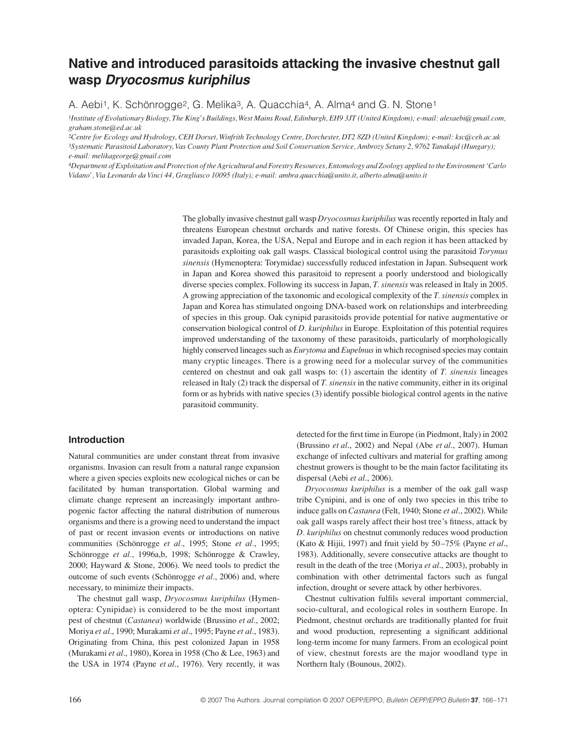# Native and introduced parasitoids attacking the invasive chestnut gall **wasp** *Dryocosmus kuriphilus*

A. Aebi1, K. Schönrogge2, G. Melika3, A. Quacchia4, A. Alma4 and G. N. Stone1

<sup>1</sup>*Institute of Evolutionary Biology, The King's Buildings, West Mains Road, Edinburgh, EH9 3JT (United Kingdom); e-mail: alexaebi@gmail.com, graham.stone@ed.ac.uk* 

<sup>2</sup>*Centre for Ecology and Hydrology, CEH Dorset, Winfrith Technology Centre, Dorchester, DT2 8ZD (United Kingdom); e-mail: ksc@ceh.ac.uk*  <sup>3</sup>*Systematic Parasitoid Laboratory, Vas County Plant Protection and Soil Conservation Service, Ambrozy Setany 2, 9762 Tanakajd (Hungary); e-mail: melikageorge@gmail.com* 

<sup>4</sup>*Department of Exploitation and Protection of the Agricultural and Forestry Resources, Entomology and Zoology applied to the Environment 'Carlo Vidano', Via Leonardo da Vinci 44, Grugliasco 10095 (Italy); e-mail: ambra.quacchia@unito.it, alberto.alma@unito.it* 

> The globally invasive chestnut gall wasp *Dryocosmus kuriphilus* was recently reported in Italy and threatens European chestnut orchards and native forests. Of Chinese origin, this species has invaded Japan, Korea, the USA, Nepal and Europe and in each region it has been attacked by parasitoids exploiting oak gall wasps. Classical biological control using the parasitoid *Torymus sinensis* (Hymenoptera: Torymidae) successfully reduced infestation in Japan. Subsequent work in Japan and Korea showed this parasitoid to represent a poorly understood and biologically diverse species complex. Following its success in Japan, *T. sinensis* was released in Italy in 2005. A growing appreciation of the taxonomic and ecological complexity of the *T. sinensis* complex in Japan and Korea has stimulated ongoing DNA-based work on relationships and interbreeding of species in this group. Oak cynipid parasitoids provide potential for native augmentative or conservation biological control of *D. kuriphilus* in Europe*.* Exploitation of this potential requires improved understanding of the taxonomy of these parasitoids, particularly of morphologically highly conserved lineages such as *Eurytoma* and *Eupelmus*in which recognised species may contain many cryptic lineages. There is a growing need for a molecular survey of the communities centered on chestnut and oak gall wasps to: (1) ascertain the identity of *T. sinensis* lineages released in Italy (2) track the dispersal of *T. sinensis* in the native community, either in its original form or as hybrids with native species (3) identify possible biological control agents in the native parasitoid community.

# **Introduction**

Natural communities are under constant threat from invasive organisms. Invasion can result from a natural range expansion where a given species exploits new ecological niches or can be facilitated by human transportation. Global warming and climate change represent an increasingly important anthropogenic factor affecting the natural distribution of numerous organisms and there is a growing need to understand the impact of past or recent invasion events or introductions on native communities (Schönrogge *et al.*, 1995; Stone *et al.*, 1995; Schönrogge *et al.*, 1996a,b, 1998; Schönrogge & Crawley, 2000; Hayward & Stone, 2006). We need tools to predict the outcome of such events (Schönrogge *et al*., 2006) and, where necessary, to minimize their impacts.

The chestnut gall wasp, *Dryocosmus kuriphilus* (Hymenoptera: Cynipidae) is considered to be the most important pest of chestnut (*Castanea*) worldwide (Brussino *et al*., 2002; Moriya *et al*., 1990; Murakami *et al*., 1995; Payne *et al*., 1983). Originating from China, this pest colonized Japan in 1958 (Murakami *et al*., 1980), Korea in 1958 (Cho & Lee, 1963) and the USA in 1974 (Payne *et al*., 1976). Very recently, it was

detected for the first time in Europe (in Piedmont, Italy) in 2002 (Brussino *et al*., 2002) and Nepal (Abe *et al*., 2007). Human exchange of infected cultivars and material for grafting among chestnut growers is thought to be the main factor facilitating its dispersal (Aebi *et al*., 2006).

*Dryocosmus kuriphilus* is a member of the oak gall wasp tribe Cynipini, and is one of only two species in this tribe to induce galls on *Castanea* (Felt, 1940; Stone *et al*., 2002). While oak gall wasps rarely affect their host tree's fitness, attack by *D. kuriphilus* on chestnut commonly reduces wood production (Kato & Hijii, 1997) and fruit yield by 50–75% (Payne *et al*., 1983). Additionally, severe consecutive attacks are thought to result in the death of the tree (Moriya *et al*., 2003), probably in combination with other detrimental factors such as fungal infection, drought or severe attack by other herbivores.

Chestnut cultivation fulfils several important commercial, socio-cultural, and ecological roles in southern Europe. In Piedmont, chestnut orchards are traditionally planted for fruit and wood production, representing a significant additional long-term income for many farmers. From an ecological point of view, chestnut forests are the major woodland type in Northern Italy (Bounous, 2002).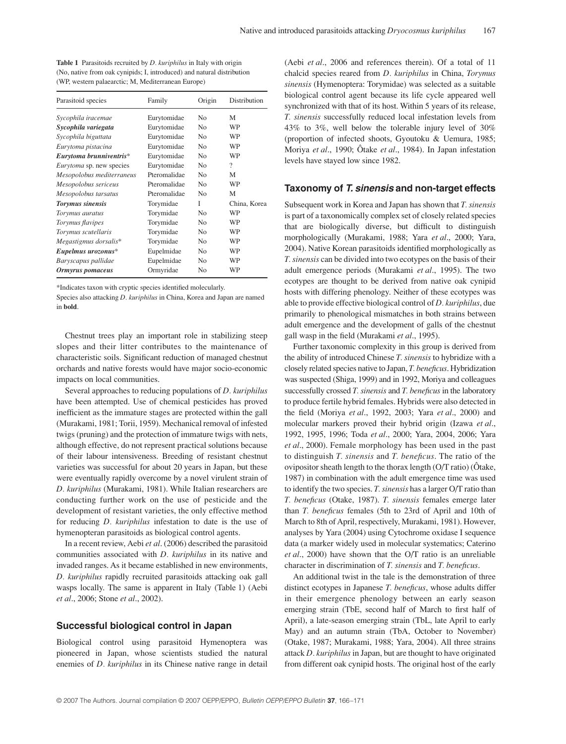| <b>Table 1</b> Parasitoids recruited by <i>D. kuriphilus</i> in Italy with origin |
|-----------------------------------------------------------------------------------|
| (No, native from oak cynipids; I, introduced) and natural distribution            |
| (WP, western palaearctic; M, Mediterranean Europe)                                |

| Parasitoid species        | Family       | Origin         | Distribution |
|---------------------------|--------------|----------------|--------------|
| Sycophila iracemae        | Eurytomidae  | N <sub>0</sub> | M            |
| Sycophila variegata       | Eurytomidae  | N <sub>0</sub> | WP           |
| Sycophila biguttata       | Eurytomidae  | N <sub>0</sub> | WP           |
| Eurytoma pistacina        | Eurytomidae  | N <sub>0</sub> | WP           |
| Eurytoma brunniventris*   | Eurytomidae  | N <sub>0</sub> | WP           |
| Eurytoma sp. new species  | Eurytomidae  | N <sub>0</sub> | ?            |
| Mesopolobus mediterraneus | Pteromalidae | N <sub>0</sub> | M            |
| Mesopolobus sericeus      | Pteromalidae | N <sub>0</sub> | WP           |
| Mesopolobus tarsatus      | Pteromalidae | N <sub>0</sub> | M            |
| <b>Torymus sinensis</b>   | Torymidae    | I              | China, Korea |
| Torymus auratus           | Torymidae    | No.            | WP           |
| Torymus flavipes          | Torymidae    | N <sub>0</sub> | WP           |
| Torymus scutellaris       | Torymidae    | N <sub>0</sub> | WP           |
| Megastigmus dorsalis*     | Torymidae    | N <sub>0</sub> | WP           |
| Eupelmus urozonus*        | Eupelmidae   | N <sub>0</sub> | WP           |
| Baryscapus pallidae       | Eupelmidae   | N <sub>0</sub> | WP           |
| Ormyrus pomaceus          | Ormyridae    | No             | WP           |

\*Indicates taxon with cryptic species identified molecularly.

Species also attacking *D. kuriphilus* in China, Korea and Japan are named in **bold**.

Chestnut trees play an important role in stabilizing steep slopes and their litter contributes to the maintenance of characteristic soils. Significant reduction of managed chestnut orchards and native forests would have major socio-economic impacts on local communities.

Several approaches to reducing populations of *D. kuriphilus* have been attempted. Use of chemical pesticides has proved inefficient as the immature stages are protected within the gall (Murakami, 1981; Torii, 1959). Mechanical removal of infested twigs (pruning) and the protection of immature twigs with nets, although effective, do not represent practical solutions because of their labour intensiveness. Breeding of resistant chestnut varieties was successful for about 20 years in Japan, but these were eventually rapidly overcome by a novel virulent strain of *D. kuriphilus* (Murakami, 1981). While Italian researchers are conducting further work on the use of pesticide and the development of resistant varieties, the only effective method for reducing *D. kuriphilus* infestation to date is the use of hymenopteran parasitoids as biological control agents.

In a recent review, Aebi *et al*. (2006) described the parasitoid communities associated with *D. kuriphilus* in its native and invaded ranges. As it became established in new environments, *D. kuriphilus* rapidly recruited parasitoids attacking oak gall wasps locally. The same is apparent in Italy (Table 1) (Aebi *et al*., 2006; Stone *et al*., 2002).

#### **Successful biological control in Japan**

Biological control using parasitoid Hymenoptera was pioneered in Japan, whose scientists studied the natural enemies of *D. kuriphilus* in its Chinese native range in detail (Aebi *et al*., 2006 and references therein). Of a total of 11 chalcid species reared from *D. kuriphilus* in China, *Torymus sinensis* (Hymenoptera: Torymidae) was selected as a suitable biological control agent because its life cycle appeared well synchronized with that of its host. Within 5 years of its release, *T. sinensis* successfully reduced local infestation levels from 43% to 3%, well below the tolerable injury level of 30% (proportion of infected shoots, Gyoutoku & Uemura, 1985; Moriya *et al*., 1990; Ôtake *et al*., 1984). In Japan infestation levels have stayed low since 1982.

#### **Taxonomy of** *T. sinensis* **and non-target effects**

Subsequent work in Korea and Japan has shown that *T. sinensis* is part of a taxonomically complex set of closely related species that are biologically diverse, but difficult to distinguish morphologically (Murakami, 1988; Yara *et al*., 2000; Yara, 2004). Native Korean parasitoids identified morphologically as *T.sinensis* can be divided into two ecotypes on the basis of their adult emergence periods (Murakami *et al*., 1995). The two ecotypes are thought to be derived from native oak cynipid hosts with differing phenology. Neither of these ecotypes was able to provide effective biological control of *D. kuriphilus*, due primarily to phenological mismatches in both strains between adult emergence and the development of galls of the chestnut gall wasp in the field (Murakami *et al*., 1995).

Further taxonomic complexity in this group is derived from the ability of introduced Chinese *T. sinensis* to hybridize with a closely related species native to Japan, *T. beneficus*. Hybridization was suspected (Shiga, 1999) and in 1992, Moriya and colleagues successfully crossed *T. sinensis* and *T. beneficus* in the laboratory to produce fertile hybrid females. Hybrids were also detected in the field (Moriya *et al*., 1992, 2003; Yara *et al*., 2000) and molecular markers proved their hybrid origin (Izawa *et al*., 1992, 1995, 1996; Toda *et al*., 2000; Yara, 2004, 2006; Yara *et al*., 2000). Female morphology has been used in the past to distinguish *T. sinensis* and *T. beneficus*. The ratio of the ovipositor sheath length to the thorax length (O/T ratio) (Ôtake, 1987) in combination with the adult emergence time was used to identify the two species. *T.sinensis* has a larger O/T ratio than *T. beneficus* (Otake, 1987). *T. sinensis* females emerge later than *T. beneficus* females (5th to 23rd of April and 10th of March to 8th of April, respectively, Murakami, 1981). However, analyses by Yara (2004) using Cytochrome oxidase I sequence data (a marker widely used in molecular systematics; Caterino *et al*., 2000) have shown that the O/T ratio is an unreliable character in discrimination of *T. sinensis* and *T. beneficus*.

An additional twist in the tale is the demonstration of three distinct ecotypes in Japanese *T. beneficus*, whose adults differ in their emergence phenology between an early season emerging strain (TbE, second half of March to first half of April), a late-season emerging strain (TbL, late April to early May) and an autumn strain (TbA, October to November) (Otake, 1987; Murakami, 1988; Yara, 2004). All three strains attack *D. kuriphilus* in Japan, but are thought to have originated from different oak cynipid hosts. The original host of the early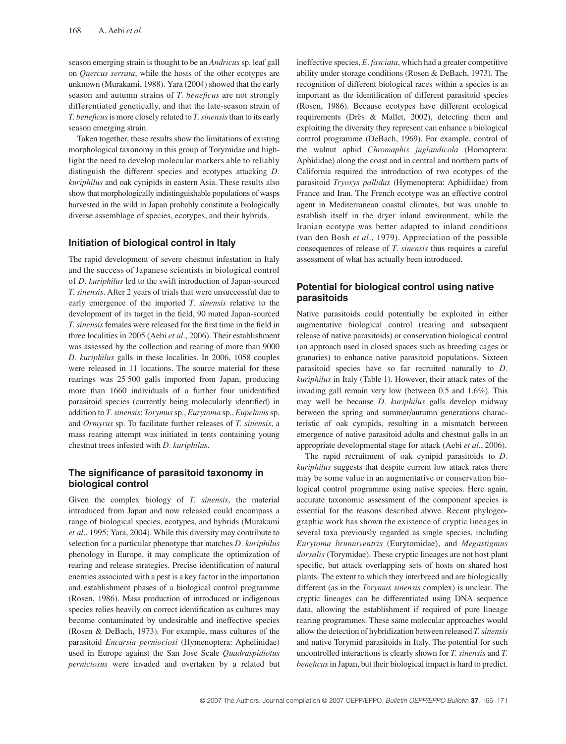season emerging strain is thought to be an *Andricus*sp. leaf gall on *Quercus serrata*, while the hosts of the other ecotypes are unknown (Murakami, 1988). Yara (2004) showed that the early season and autumn strains of *T. beneficus* are not strongly differentiated genetically, and that the late-season strain of *T. beneficus*is more closely related to *T.sinensis*than to its early season emerging strain.

Taken together, these results show the limitations of existing morphological taxonomy in this group of Torymidae and highlight the need to develop molecular markers able to reliably distinguish the different species and ecotypes attacking *D. kuriphilus* and oak cynipids in eastern Asia. These results also show that morphologically indistinguishable populations of wasps harvested in the wild in Japan probably constitute a biologically diverse assemblage of species, ecotypes, and their hybrids.

#### **Initiation of biological control in Italy**

The rapid development of severe chestnut infestation in Italy and the success of Japanese scientists in biological control of *D. kuriphilus* led to the swift introduction of Japan-sourced *T. sinensis*. After 2 years of trials that were unsuccessful due to early emergence of the imported *T. sinensis* relative to the development of its target in the field, 90 mated Japan-sourced *T. sinensis* females were released for the first time in the field in three localities in 2005 (Aebi *et al*., 2006). Their establishment was assessed by the collection and rearing of more than 9000 *D. kuriphilus* galls in these localities. In 2006, 1058 couples were released in 11 locations. The source material for these rearings was 25 500 galls imported from Japan, producing more than 1660 individuals of a further four unidentified parasitoid species (currently being molecularly identified) in addition to *T.sinensis*: *Torymus*sp., *Eurytoma* sp., *Eupelmus*sp. and *Ormyrus* sp. To facilitate further releases of *T. sinensis*, a mass rearing attempt was initiated in tents containing young chestnut trees infested with *D. kuriphilus*.

## **The significance of parasitoid taxonomy in biological control**

Given the complex biology of *T. sinensis*, the material introduced from Japan and now released could encompass a range of biological species, ecotypes, and hybrids (Murakami *et al*., 1995; Yara, 2004). While this diversity may contribute to selection for a particular phenotype that matches *D. kuriphilus* phenology in Europe, it may complicate the optimization of rearing and release strategies. Precise identification of natural enemies associated with a pest is a key factor in the importation and establishment phases of a biological control programme (Rosen, 1986). Mass production of introduced or indigenous species relies heavily on correct identification as cultures may become contaminated by undesirable and ineffective species (Rosen & DeBach, 1973). For example, mass cultures of the parasitoid *Encarsia perniociosi* (Hymenoptera: Aphelinidae) used in Europe against the San Jose Scale *Quadraspidiotus perniciosus* were invaded and overtaken by a related but ineffective species, *E. fasciata*, which had a greater competitive ability under storage conditions (Rosen & DeBach, 1973). The recognition of different biological races within a species is as important as the identification of different parasitoid species (Rosen, 1986). Because ecotypes have different ecological requirements (Drès & Mallet, 2002), detecting them and exploiting the diversity they represent can enhance a biological control programme (DeBach, 1969). For example, control of the walnut aphid *Chromaphis juglandicola* (Homoptera: Aphididae) along the coast and in central and northern parts of California required the introduction of two ecotypes of the parasitoid *Tryoxys pallidus* (Hymenoptera: Aphidiidae) from France and Iran. The French ecotype was an effective control agent in Mediterranean coastal climates, but was unable to establish itself in the dryer inland environment, while the Iranian ecotype was better adapted to inland conditions (van den Bosh *et al*., 1979). Appreciation of the possible consequences of release of *T. sinensis* thus requires a careful assessment of what has actually been introduced.

# **Potential for biological control using native parasitoids**

Native parasitoids could potentially be exploited in either augmentative biological control (rearing and subsequent release of native parasitoids) or conservation biological control (an approach used in closed spaces such as breeding cages or granaries) to enhance native parasitoid populations. Sixteen parasitoid species have so far recruited naturally to *D. kuriphilus* in Italy (Table 1). However, their attack rates of the invading gall remain very low (between 0.5 and 1.6%). This may well be because *D. kuriphilus* galls develop midway between the spring and summer/autumn generations characteristic of oak cynipids, resulting in a mismatch between emergence of native parasitoid adults and chestnut galls in an appropriate developmental stage for attack (Aebi *et al*., 2006).

The rapid recruitment of oak cynipid parasitoids to *D. kuriphilus* suggests that despite current low attack rates there may be some value in an augmentative or conservation biological control programme using native species. Here again, accurate taxonomic assessment of the component species is essential for the reasons described above. Recent phylogeographic work has shown the existence of cryptic lineages in several taxa previously regarded as single species, including *Eurytoma brunniventris* (Eurytomidae), and *Megastigmus dorsalis* (Torymidae). These cryptic lineages are not host plant specific, but attack overlapping sets of hosts on shared host plants. The extent to which they interbreed and are biologically different (as in the *Torymus sinensis* complex) is unclear. The cryptic lineages can be differentiated using DNA sequence data, allowing the establishment if required of pure lineage rearing programmes. These same molecular approaches would allow the detection of hybridization between released *T.sinensis* and native Torymid parasitoids in Italy. The potential for such uncontrolled interactions is clearly shown for *T. sinensis* and *T. beneficus*in Japan, but their biological impact is hard to predict.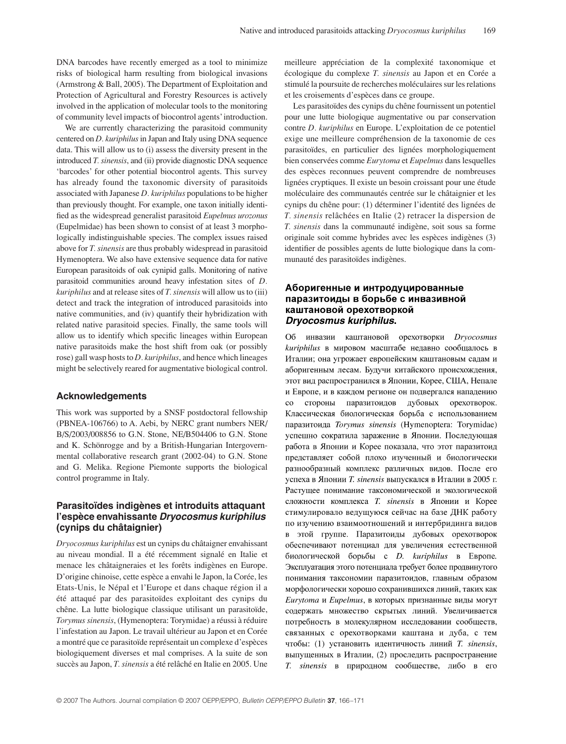DNA barcodes have recently emerged as a tool to minimize risks of biological harm resulting from biological invasions (Armstrong & Ball, 2005). The Department of Exploitation and Protection of Agricultural and Forestry Resources is actively involved in the application of molecular tools to the monitoring of community level impacts of biocontrol agents' introduction.

We are currently characterizing the parasitoid community centered on *D. kuriphilus*in Japan and Italy using DNA sequence data. This will allow us to (i) assess the diversity present in the introduced *T. sinensis*, and (ii) provide diagnostic DNA sequence 'barcodes' for other potential biocontrol agents. This survey has already found the taxonomic diversity of parasitoids associated with Japanese *D. kuriphilus* populations to be higher than previously thought. For example, one taxon initially identified as the widespread generalist parasitoid *Eupelmus urozonus* (Eupelmidae) has been shown to consist of at least 3 morphologically indistinguishable species. The complex issues raised above for *T. sinensis* are thus probably widespread in parasitoid Hymenoptera. We also have extensive sequence data for native European parasitoids of oak cynipid galls. Monitoring of native parasitoid communities around heavy infestation sites of *D. kuriphilus* and at release sites of *T.sinensis* will allow us to (iii) detect and track the integration of introduced parasitoids into native communities, and (iv) quantify their hybridization with related native parasitoid species. Finally, the same tools will allow us to identify which specific lineages within European native parasitoids make the host shift from oak (or possibly rose) gall wasp hosts to *D. kuriphilus*, and hence which lineages might be selectively reared for augmentative biological control.

# **Acknowledgements**

This work was supported by a SNSF postdoctoral fellowship (PBNEA-106766) to A. Aebi, by NERC grant numbers NER/ B/S/2003/008856 to G.N. Stone, NE/B504406 to G.N. Stone and K. Schönrogge and by a British-Hungarian Intergovernmental collaborative research grant (2002-04) to G.N. Stone and G. Melika. Regione Piemonte supports the biological control programme in Italy.

## **Parasitoïdes indigènes et introduits attaquant l'espèce envahissante** *Dryocosmus kuriphilus* **(cynips du châtaignier)**

*Dryocosmus kuriphilus* est un cynips du châtaigner envahissant au niveau mondial. Il a été récemment signalé en Italie et menace les châtaigneraies et les forêts indigènes en Europe. D'origine chinoise, cette espèce a envahi le Japon, la Corée, les Etats-Unis, le Népal et l'Europe et dans chaque région il a été attaqué par des parasitoïdes exploitant des cynips du chêne. La lutte biologique classique utilisant un parasitoïde, *Torymus sinensis*, (Hymenoptera: Torymidae) a réussi à réduire l'infestation au Japon. Le travail ultérieur au Japon et en Corée a montré que ce parasitoïde représentait un complexe d'espèces biologiquement diverses et mal comprises. A la suite de son succès au Japon, *T. sinensis* a été relâché en Italie en 2005. Une meilleure appréciation de la complexité taxonomique et écologique du complexe *T. sinensis* au Japon et en Corée a stimulé la poursuite de recherches moléculaires sur les relations et les croisements d'espèces dans ce groupe.

Les parasitoïdes des cynips du chêne fournissent un potentiel pour une lutte biologique augmentative ou par conservation contre *D. kuriphilus* en Europe. L'exploitation de ce potentiel exige une meilleure compréhension de la taxonomie de ces parasitoïdes, en particulier des lignées morphologiquement bien conservées comme *Eurytoma* et *Eupelmus* dans lesquelles des espèces reconnues peuvent comprendre de nombreuses lignées cryptiques. Il existe un besoin croissant pour une étude moléculaire des communautés centrée sur le châtaignier et les cynips du chêne pour: (1) déterminer l'identité des lignées de *T. sinensis* relâchées en Italie (2) retracer la dispersion de *T. sinensis* dans la communauté indigène, soit sous sa forme originale soit comme hybrides avec les espèces indigènes (3) identifier de possibles agents de lutte biologique dans la communauté des parasitoïdes indigènes.

## Аборигенные и интродуцированные паразитоиды в борьбе с инвазивной каштановой орехотворкой Dryocosmus kuriphilus.

Об инвазии каштановой орехотворки Dryocosmus kuriphilus в мировом масштабе недавно сообщалось в Италии; она угрожает европейским каштановым садам и аборигенным лесам. Будучи китайского происхождения, этот вид распространился в Японии, Корее, США, Непале и Европе, и в каждом регионе он подвергался нападению стороны паразитоидов дубовых орехотворок.  $\rm{co}$ Классическая биологическая борьба с использованием паразитоида Torymus sinensis (Hymenoptera: Torymidae) успешно сократила заражение в Японии. Последующая работа в Японии и Корее показала, что этот паразитоид представляет собой плохо изученный и биологически разнообразный комплекс различных видов. После его успеха в Японии T. sinensis выпускался в Италии в 2005 г. Растущее понимание таксономической и экологической сложности комплекса T. sinensis в Японии и Корее стимулировало ведущуюся сейчас на базе ДНК работу по изучению взаимоотношений и интербридинга видов в этой группе. Паразитоиды дубовых орехотворок обеспечивают потенциал для увеличения естественной биологической борьбы с D. kuriphilus в Европе. Эксплуатация этого потенциала требует более продвинутого понимания таксономии паразитоидов, главным образом морфологически хорошо сохранившихся линий, таких как Eurytoma и Eupelmus, в которых признанные виды могут содержать множество скрытых линий. Увеличивается потребность в молекулярном исследовании сообществ, связанных с орехотворками каштана и дуба, с тем чтобы: (1) установить идентичность линий T. sinensis, выпущенных в Италии, (2) проследить распространение T. sinensis в природном сообществе, либо в его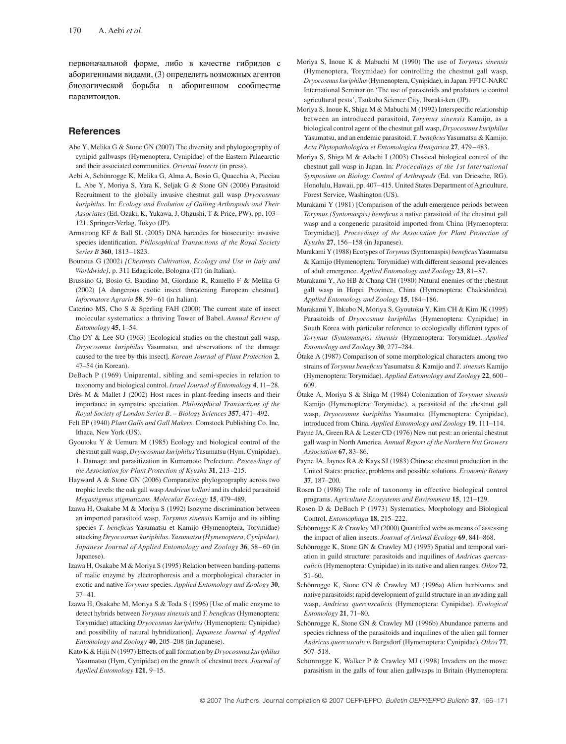первоначальной форме, либо в качестве гибридов с аборигенными видами, (3) определить возможных агентов биологической борьбы в аборигенном сообществе паразитоидов.

#### **References**

- Abe Y, Melika G & Stone GN (2007) The diversity and phylogeography of cynipid gallwasps (Hymenoptera, Cynipidae) of the Eastern Palaearctic and their associated communities. *Oriental Insects* (in press).
- Aebi A, Schönrogge K, Melika G, Alma A, Bosio G, Quacchia A, Picciau L, Abe Y, Moriya S, Yara K, Seljak G & Stone GN (2006) Parasitoid Recruitment to the globally invasive chestnut gall wasp *Dryocosmus kuriphilus*. In: *Ecology and Evolution of Galling Arthropods and Their Associates* (Ed. Ozaki, K, Yukawa, J, Ohgushi, T & Price, PW), pp. 103– 121. Springer-Verlag, Tokyo (JP).
- Armstrong KF & Ball SL (2005) DNA barcodes for biosecurity: invasive species identification. *Philosophical Transactions of the Royal Society Series B* **360**, 1813–1823.
- Bounous G (2002*) [Chestnuts Cultivation, Ecology and Use in Italy and Worldwide]*, p. 311 Edagricole, Bologna (IT) (in Italian).
- Brussino G, Bosio G, Baudino M, Giordano R, Ramello F & Melika G (2002) [A dangerous exotic insect threatening European chestnut]. *Informatore Agrario* **58**, 59–61 (in Italian).
- Caterino MS, Cho S & Sperling FAH (2000) The current state of insect molecular systematics: a thriving Tower of Babel. *Annual Review of Entomology* **45**, 1–54.
- Cho DY & Lee SO (1963) [Ecological studies on the chestnut gall wasp, *Dryocosmus kuriphilus* Yasumatsu, and observations of the damage caused to the tree by this insect]. *Korean Journal of Plant Protection* **2**, 47–54 (in Korean).
- DeBach P (1969) Uniparental, sibling and semi-species in relation to taxonomy and biological control. *Israel Journal of Entomology* **4**, 11–28.
- Drès M & Mallet J (2002) Host races in plant-feeding insects and their importance in sympatric speciation. *Philosophical Transactions of the Royal Society of London Series B. – Biology Sciences* **357**, 471–492.
- Felt EP (1940) *Plant Galls and Gall Makers*. Comstock Publishing Co. Inc, Ithaca, New York (US).
- Gyoutoku Y & Uemura M (1985) Ecology and biological control of the chestnut gall wasp, *Dryocosmus kuriphilus*Yasumatsu (Hym. Cynipidae). 1. Damage and parasitization in Kumamoto Prefecture. *Proceedings of the Association for Plant Protection of Kyushu* **31**, 213–215.
- Hayward A & Stone GN (2006) Comparative phylogeography across two trophic levels: the oak gall wasp *Andricus kollari* and its chalcid parasitoid *Megastigmus stigmatizans*. *Molecular Ecology* **15**, 479–489.
- Izawa H, Osakabe M & Moriya S (1992) Isozyme discrimination between an imported parasitoid wasp, *Torymus sinensis* Kamijo and its sibling species *T. beneficus* Yasumatsu et Kamijo (Hymenoptera, Torymidae) attacking *Dryocosmus kuriphilus*. *Yasumatsu (Hymenoptera, Cynipidae), Japanese Journal of Applied Entomology and Zoology* **36**, 58–60 (in Japanese).
- Izawa H, Osakabe M & Moriya S (1995) Relation between banding-patterns of malic enzyme by electrophoresis and a morphological character in exotic and native *Torymus* species. *Applied Entomology and Zoology* **30**, 37–41.
- Izawa H, Osakabe M, Moriya S & Toda S (1996) [Use of malic enzyme to detect hybrids between *Torymus sinensis* and *T. beneficus* (Hymenoptera: Torymidae) attacking *Dryocosmus kuriphilus* (Hymenoptera: Cynipidae) and possibility of natural hybridization]. *Japanese Journal of Applied Entomology and Zoology* **40**, 205–208 (in Japanese).
- Kato K & Hijii N (1997) Effects of gall formation by *Dryocosmus kuriphilus* Yasumatsu (Hym, Cynipidae) on the growth of chestnut trees. *Journal of Applied Entomology* **121**, 9–15.
- Moriya S, Inoue K & Mabuchi M (1990) The use of *Torymus sinensis* (Hymenoptera, Torymidae) for controlling the chestnut gall wasp, *Dryocosmus kuriphilus*(Hymenoptera, Cynipidae), in Japan. FFTC-NARC International Seminar on 'The use of parasitoids and predators to control agricultural pests', Tsukuba Science City, Ibaraki-ken (JP).
- Moriya S, Inoue K, Shiga M & Mabuchi M (1992) Interspecific relationship between an introduced parasitoid, *Torymus sinensis* Kamijo, as a biological control agent of the chestnut gall wasp, *Dryocosmus kuriphilus* Yasumatsu, and an endemic parasitoid, *T. beneficus*Yasumatsu & Kamijo. *Acta Phytopathologica et Entomologica Hungarica* **27**, 479–483.
- Moriya S, Shiga M & Adachi I (2003) Classical biological control of the chestnut gall wasp in Japan. In: *Proceedings of the 1st International Symposium on Biology Control of Arthropods* (Ed. van Driesche, RG). Honolulu, Hawaii, pp. 407–415. United States Department of Agriculture, Forest Service, Washington (US).
- Murakami Y (1981) [Comparison of the adult emergence periods between *Torymus (Syntomaspis) beneficus* a native parasitoid of the chestnut gall wasp and a congeneric parasitoid imported from China (Hymenoptera: Torymidae)]. *Proceedings of the Association for Plant Protection of Kyushu* **27**, 156–158 (in Japanese).
- Murakami Y (1988) Ecotypes of *Torymus*(Syntomaspis) *beneficus*Yasumatsu & Kamijo (Hymenoptera: Torymidae) with different seasonal prevalences of adult emergence. *Applied Entomology and Zoology* **23**, 81–87.
- Murakami Y, Ao HB & Chang CH (1980) Natural enemies of the chestnut gall wasp in Hopei Province, China (Hymenoptera: Chalcidoidea). *Applied Entomology and Zoology* **15**, 184–186.
- Murakami Y, Ihkubo N, Moriya S, Gyoutoku Y, Kim CH & Kim JK (1995) Parasitoids of *Dryocosmus kuriphilus* (Hymenoptera: Cynipidae) in South Korea with particular reference to ecologically different types of *Torymus (Syntomaspis) sinensis* (Hymenoptera: Torymidae). *Applied Entomology and Zoology* **30**, 277–284.
- Ôtake A (1987) Comparison of some morphological characters among two strains of *Torymus beneficus*Yasumatsu & Kamijo and *T.sinensis* Kamijo (Hymenoptera: Torymidae). *Applied Entomology and Zoology* **22**, 600– 609.
- Ôtake A, Moriya S & Shiga M (1984) Colonization of *Torymus sinensis* Kamijo (Hymenoptera: Torymidae), a parasitoid of the chestnut gall wasp, *Dryocosmus kuriphilus* Yasumatsu (Hymenoptera: Cynipidae), introduced from China. *Applied Entomology and Zoology* **19**, 111–114.
- Payne JA, Green RA & Lester CD (1976) New nut pest: an oriental chestnut gall wasp in North America. *Annual Report of the Northern Nut Growers Association* **67**, 83–86.
- Payne JA, Jaynes RA & Kays SJ (1983) Chinese chestnut production in the United States: practice, problems and possible solutions. *Economic Botany* **37**, 187–200.
- Rosen D (1986) The role of taxonomy in effective biological control programs. *Agriculture Ecosystems and Environment* **15**, 121–129.
- Rosen D & DeBach P (1973) Systematics, Morphology and Biological Control. *Entomophaga* **18**, 215–222.
- Schönrogge K & Crawley MJ (2000) Quantified webs as means of assessing the impact of alien insects. *Journal of Animal Ecology* **69**, 841–868.
- Schönrogge K, Stone GN & Crawley MJ (1995) Spatial and temporal variation in guild structure: parasitoids and inquilines of *Andricus quercuscalicis*(Hymenoptera: Cynipidae) in its native and alien ranges. *Oikos* **72**, 51–60.
- Schönrogge K, Stone GN & Crawley MJ (1996a) Alien herbivores and native parasitoids: rapid development of guild structure in an invading gall wasp, *Andricus quercuscalicis* (Hymenoptera: Cynipidae). *Ecological Entomology* **21**, 71–80.
- Schönrogge K, Stone GN & Crawley MJ (1996b) Abundance patterns and species richness of the parasitoids and inquilines of the alien gall former *Andricus quercuscalicis* Burgsdorf (Hymenoptera: Cynipidae). *Oikos* **77**, 507–518.
- Schönrogge K, Walker P & Crawley MJ (1998) Invaders on the move: parasitism in the galls of four alien gallwasps in Britain (Hymenoptera: